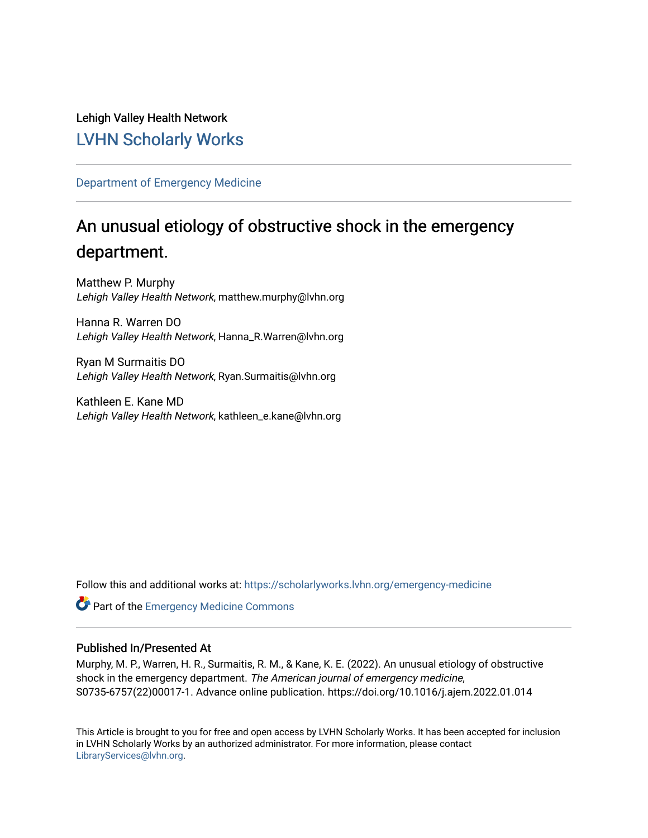Lehigh Valley Health Network [LVHN Scholarly Works](https://scholarlyworks.lvhn.org/)

[Department of Emergency Medicine](https://scholarlyworks.lvhn.org/emergency-medicine)

# An unusual etiology of obstructive shock in the emergency department.

Matthew P. Murphy Lehigh Valley Health Network, matthew.murphy@lvhn.org

Hanna R. Warren DO Lehigh Valley Health Network, Hanna\_R.Warren@lvhn.org

Ryan M Surmaitis DO Lehigh Valley Health Network, Ryan.Surmaitis@lvhn.org

Kathleen E. Kane MD Lehigh Valley Health Network, kathleen\_e.kane@lvhn.org

Follow this and additional works at: [https://scholarlyworks.lvhn.org/emergency-medicine](https://scholarlyworks.lvhn.org/emergency-medicine?utm_source=scholarlyworks.lvhn.org%2Femergency-medicine%2F694&utm_medium=PDF&utm_campaign=PDFCoverPages) 

Part of the [Emergency Medicine Commons](http://network.bepress.com/hgg/discipline/685?utm_source=scholarlyworks.lvhn.org%2Femergency-medicine%2F694&utm_medium=PDF&utm_campaign=PDFCoverPages)

### Published In/Presented At

Murphy, M. P., Warren, H. R., Surmaitis, R. M., & Kane, K. E. (2022). An unusual etiology of obstructive shock in the emergency department. The American journal of emergency medicine, S0735-6757(22)00017-1. Advance online publication. https://doi.org/10.1016/j.ajem.2022.01.014

This Article is brought to you for free and open access by LVHN Scholarly Works. It has been accepted for inclusion in LVHN Scholarly Works by an authorized administrator. For more information, please contact [LibraryServices@lvhn.org](mailto:LibraryServices@lvhn.org).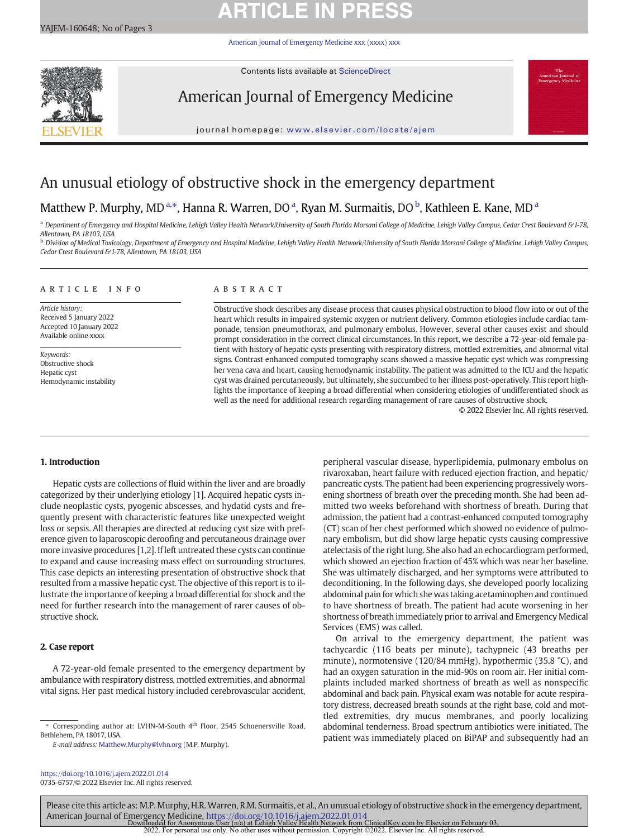# **ARTICLE IN PRESS**

[American Journal of Emergency Medicine xxx \(xxxx\) xxx](https://doi.org/10.1016/j.ajem.2022.01.014)



Contents lists available at ScienceDirect

# American Journal of Emergency Medicine



journal homepage: <www.elsevier.com/locate/ajem>

## An unusual etiology of obstructive shock in the emergency department

## Matthew P. Murphy, MD<sup>a,\*</sup>, Hanna R. Warren, DO<sup>a</sup>, Ryan M. Surmaitis, DO<sup>b</sup>, Kathleen E. Kane, MD<sup>a</sup>

a Department of Emergency and Hospital Medicine, Lehigh Valley Health Network/University of South Florida Morsani College of Medicine, Lehigh Valley Campus, Cedar Crest Boulevard & I-78, Allentown, PA 18103, USA

<sup>b</sup> Division of Medical Toxicology, Department of Emergency and Hospital Medicine, Lehigh Valley Health Network/University of South Florida Morsani College of Medicine, Lehigh Valley Campus, Cedar Crest Boulevard & I-78, Allentown, PA 18103, USA

### article info abstract

Article history: Received 5 January 2022 Accepted 10 January 2022 Available online xxxx

Keywords: Obstructive shock Hepatic cyst Hemodynamic instability

Obstructive shock describes any disease process that causes physical obstruction to blood flow into or out of the heart which results in impaired systemic oxygen or nutrient delivery. Common etiologies include cardiac tamponade, tension pneumothorax, and pulmonary embolus. However, several other causes exist and should prompt consideration in the correct clinical circumstances. In this report, we describe a 72-year-old female patient with history of hepatic cysts presenting with respiratory distress, mottled extremities, and abnormal vital signs. Contrast enhanced computed tomography scans showed a massive hepatic cyst which was compressing her vena cava and heart, causing hemodynamic instability. The patient was admitted to the ICU and the hepatic cyst was drained percutaneously, but ultimately, she succumbed to her illness post-operatively. This report highlights the importance of keeping a broad differential when considering etiologies of undifferentiated shock as well as the need for additional research regarding management of rare causes of obstructive shock.

© 2022 Elsevier Inc. All rights reserved.

### 1. Introduction

Hepatic cysts are collections of fluid within the liver and are broadly categorized by their underlying etiology [[1](#page-3-0)]. Acquired hepatic cysts include neoplastic cysts, pyogenic abscesses, and hydatid cysts and frequently present with characteristic features like unexpected weight loss or sepsis. All therapies are directed at reducing cyst size with preference given to laparoscopic deroofing and percutaneous drainage over more invasive procedures [[1](#page-3-0),[2](#page-3-0)]. If left untreated these cysts can continue to expand and cause increasing mass effect on surrounding structures. This case depicts an interesting presentation of obstructive shock that resulted from a massive hepatic cyst. The objective of this report is to illustrate the importance of keeping a broad differential for shock and the need for further research into the management of rarer causes of obstructive shock.

### 2. Case report

A 72-year-old female presented to the emergency department by ambulance with respiratory distress, mottled extremities, and abnormal vital signs. Her past medical history included cerebrovascular accident,

E-mail address: [Matthew.Murphy@lvhn.org](mailto:Matthew.Murphy@lvhn.org) (M.P. Murphy).

<https://doi.org/10.1016/j.ajem.2022.01.014> 0735-6757/© 2022 Elsevier Inc. All rights reserved. peripheral vascular disease, hyperlipidemia, pulmonary embolus on rivaroxaban, heart failure with reduced ejection fraction, and hepatic/ pancreatic cysts. The patient had been experiencing progressively worsening shortness of breath over the preceding month. She had been admitted two weeks beforehand with shortness of breath. During that admission, the patient had a contrast-enhanced computed tomography (CT) scan of her chest performed which showed no evidence of pulmonary embolism, but did show large hepatic cysts causing compressive atelectasis of the right lung. She also had an echocardiogram performed, which showed an ejection fraction of 45% which was near her baseline. She was ultimately discharged, and her symptoms were attributed to deconditioning. In the following days, she developed poorly localizing abdominal pain for which she was taking acetaminophen and continued to have shortness of breath. The patient had acute worsening in her shortness of breath immediately prior to arrival and Emergency Medical Services (EMS) was called.

On arrival to the emergency department, the patient was tachycardic (116 beats per minute), tachypneic (43 breaths per minute), normotensive (120/84 mmHg), hypothermic (35.8 °C), and had an oxygen saturation in the mid-90s on room air. Her initial complaints included marked shortness of breath as well as nonspecific abdominal and back pain. Physical exam was notable for acute respiratory distress, decreased breath sounds at the right base, cold and mottled extremities, dry mucus membranes, and poorly localizing abdominal tenderness. Broad spectrum antibiotics were initiated. The patient was immediately placed on BiPAP and subsequently had an

Please cite this article as: M.P. Murphy, H.R. Warren, R.M. Surmaitis, et al., An unusual etiology of obstructive shock in the emergency department, American Journal of Emergency Medicine, <https://doi.org/10.1016/j.ajem.2022.01.014><br>1933 Downloaded for Anonymous User (n/a) at Lehigh Valley Health Network from ClinicalKey.com by Elsevier on February<br>2022. For personal us

<sup>⁎</sup> Corresponding author at: LVHN-M-South 4th Floor, 2545 Schoenersville Road, Bethlehem, PA 18017, USA.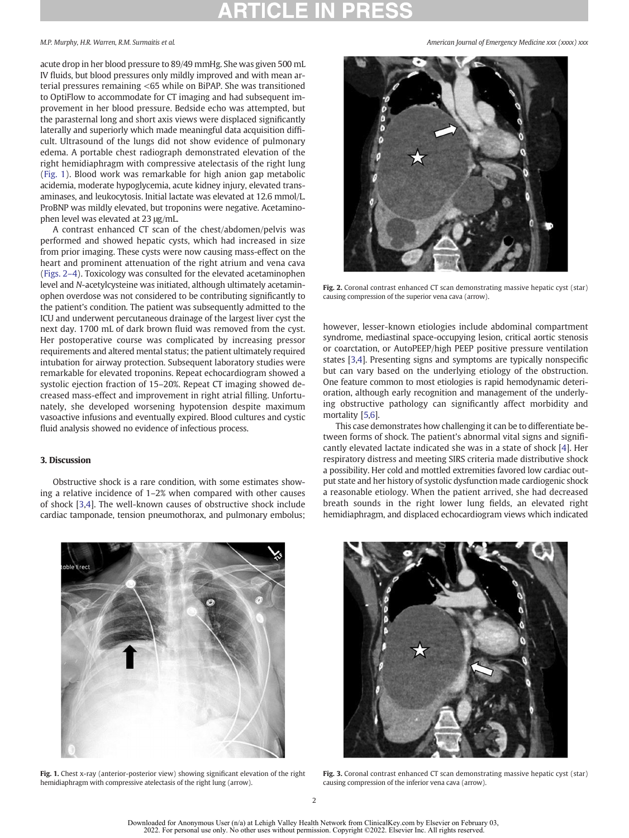acute drop in her blood pressure to 89/49 mmHg. She was given 500 mL IV fluids, but blood pressures only mildly improved and with mean arterial pressures remaining <65 while on BiPAP. She was transitioned to OptiFlow to accommodate for CT imaging and had subsequent improvement in her blood pressure. Bedside echo was attempted, but the parasternal long and short axis views were displaced significantly laterally and superiorly which made meaningful data acquisition difficult. Ultrasound of the lungs did not show evidence of pulmonary edema. A portable chest radiograph demonstrated elevation of the right hemidiaphragm with compressive atelectasis of the right lung (Fig. 1). Blood work was remarkable for high anion gap metabolic acidemia, moderate hypoglycemia, acute kidney injury, elevated transaminases, and leukocytosis. Initial lactate was elevated at 12.6 mmol/L. ProBNP was mildly elevated, but troponins were negative. Acetaminophen level was elevated at 23 μg/mL.

A contrast enhanced CT scan of the chest/abdomen/pelvis was performed and showed hepatic cysts, which had increased in size from prior imaging. These cysts were now causing mass-effect on the heart and prominent attenuation of the right atrium and vena cava (Figs. 2–4). Toxicology was consulted for the elevated acetaminophen level and N-acetylcysteine was initiated, although ultimately acetaminophen overdose was not considered to be contributing significantly to the patient's condition. The patient was subsequently admitted to the ICU and underwent percutaneous drainage of the largest liver cyst the next day. 1700 mL of dark brown fluid was removed from the cyst. Her postoperative course was complicated by increasing pressor requirements and altered mental status; the patient ultimately required intubation for airway protection. Subsequent laboratory studies were remarkable for elevated troponins. Repeat echocardiogram showed a systolic ejection fraction of 15–20%. Repeat CT imaging showed decreased mass-effect and improvement in right atrial filling. Unfortunately, she developed worsening hypotension despite maximum vasoactive infusions and eventually expired. Blood cultures and cystic fluid analysis showed no evidence of infectious process.

### 3. Discussion

Obstructive shock is a rare condition, with some estimates showing a relative incidence of 1–2% when compared with other causes of shock [[3,4](#page-3-0)]. The well-known causes of obstructive shock include cardiac tamponade, tension pneumothorax, and pulmonary embolus;



Fig. 2. Coronal contrast enhanced CT scan demonstrating massive hepatic cyst (star) causing compression of the superior vena cava (arrow).

however, lesser-known etiologies include abdominal compartment syndrome, mediastinal space-occupying lesion, critical aortic stenosis or coarctation, or AutoPEEP/high PEEP positive pressure ventilation states [\[3,4](#page-3-0)]. Presenting signs and symptoms are typically nonspecific but can vary based on the underlying etiology of the obstruction. One feature common to most etiologies is rapid hemodynamic deterioration, although early recognition and management of the underlying obstructive pathology can significantly affect morbidity and mortality [\[5,6](#page-3-0)].

This case demonstrates how challenging it can be to differentiate between forms of shock. The patient's abnormal vital signs and significantly elevated lactate indicated she was in a state of shock [[4\]](#page-3-0). Her respiratory distress and meeting SIRS criteria made distributive shock a possibility. Her cold and mottled extremities favored low cardiac output state and her history of systolic dysfunction made cardiogenic shock a reasonable etiology. When the patient arrived, she had decreased breath sounds in the right lower lung fields, an elevated right hemidiaphragm, and displaced echocardiogram views which indicated



Fig. 1. Chest x-ray (anterior-posterior view) showing significant elevation of the right hemidiaphragm with compressive atelectasis of the right lung (arrow).



Fig. 3. Coronal contrast enhanced CT scan demonstrating massive hepatic cyst (star) causing compression of the inferior vena cava (arrow).